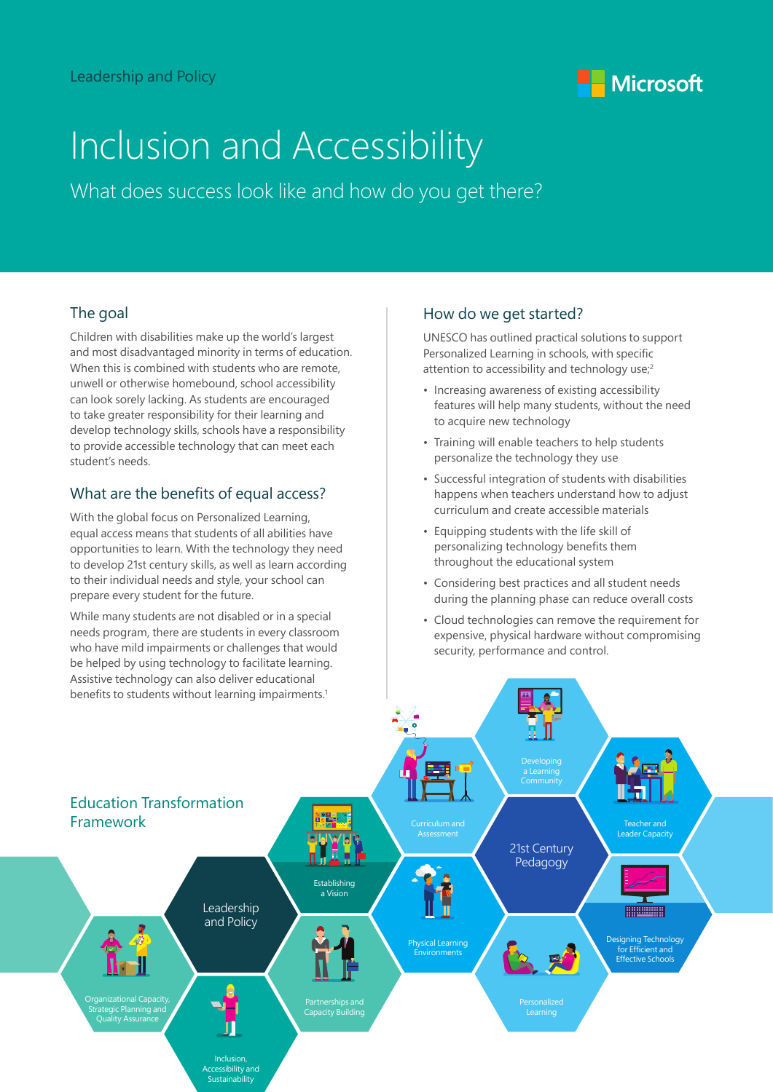

# Inclusion and Accessibility

What does success look like and how do you get there?

### The goal

Children with disabilities make up the world's largest and most disadvantaged minority in terms of education. When this is combined with students who are remote. unwell or otherwise homebound, school accessibility can look sorely lacking. As students are encouraged to take greater responsibility for their learning and develop technology skills, schools have a responsibility to provide accessible technology that can meet each student's needs.

#### What are the benefits of equal access?

With the global focus on Personalized Learning, equal access means that students of all abilities have opportunities to learn. With the technology they need to develop 21st century skills, as well as learn according to their individual needs and style, your school can prepare every student for the future.

While many students are not disabled or in a special needs program, there are students in every classroom who have mild impairments or challenges that would be helped by using technology to facilitate learning. Assistive technology can also deliver educational

#### How do we get started?

UNESCO has outlined practical solutions to support Personalized Learning in schools, with specific attention to accessibility and technology use;<sup>2</sup>

- Increasing awareness of existing accessibility features will help many students, without the need to acquire new technology
- Training will enable teachers to help students personalize the technology they use
- Successful integration of students with disabilities happens when teachers understand how to adjust curriculum and create accessible materials
- Equipping students with the life skill of personalizing technology benefits them throughout the educational system
- Considering best practices and all student needs during the planning phase can reduce overall costs
- Cloud technologies can remove the requirement for expensive, physical hardware without compromising security, performance and control.